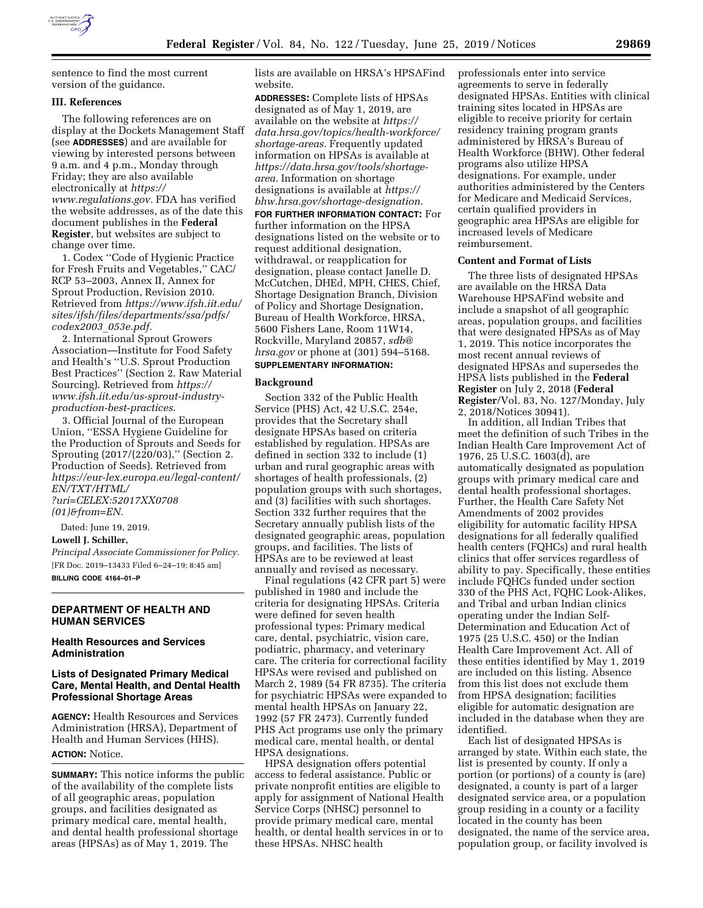

sentence to find the most current version of the guidance.

## **III. References**

The following references are on display at the Dockets Management Staff (see **ADDRESSES**) and are available for viewing by interested persons between 9 a.m. and 4 p.m., Monday through Friday; they are also available electronically at *[https://](https://www.regulations.gov) [www.regulations.gov.](https://www.regulations.gov)* FDA has verified the website addresses, as of the date this document publishes in the **Federal Register**, but websites are subject to change over time.

1. Codex ''Code of Hygienic Practice for Fresh Fruits and Vegetables,'' CAC/ RCP 53–2003, Annex II, Annex for Sprout Production, Revision 2010. Retrieved from *[https://www.ifsh.iit.edu/](https://www.ifsh.iit.edu/sites/ifsh/files/departments/ssa/pdfs/codex2003_053e.pdf) [sites/ifsh/files/departments/ssa/pdfs/](https://www.ifsh.iit.edu/sites/ifsh/files/departments/ssa/pdfs/codex2003_053e.pdf)  [codex2003](https://www.ifsh.iit.edu/sites/ifsh/files/departments/ssa/pdfs/codex2003_053e.pdf)*\_*053e.pdf.* 

2. International Sprout Growers Association—Institute for Food Safety and Health's ''U.S. Sprout Production Best Practices'' (Section 2. Raw Material Sourcing). Retrieved from *[https://](https://www.ifsh.iit.edu/us-sprout-industry-production-best-practices) [www.ifsh.iit.edu/us-sprout-industry](https://www.ifsh.iit.edu/us-sprout-industry-production-best-practices)[production-best-practices.](https://www.ifsh.iit.edu/us-sprout-industry-production-best-practices)* 

3. Official Journal of the European Union, ''ESSA Hygiene Guideline for the Production of Sprouts and Seeds for Sprouting (2017/(220/03),'' (Section 2. Production of Seeds). Retrieved from *[https://eur-lex.europa.eu/legal-content/](https://eur-lex.europa.eu/legal-content/EN/TXT/HTML/?uri=CELEX:52017XX0708(01)&from=EN) [EN/TXT/HTML/](https://eur-lex.europa.eu/legal-content/EN/TXT/HTML/?uri=CELEX:52017XX0708(01)&from=EN)  [?uri=CELEX:52017XX0708](https://eur-lex.europa.eu/legal-content/EN/TXT/HTML/?uri=CELEX:52017XX0708(01)&from=EN) [\(01\)&from=EN.](https://eur-lex.europa.eu/legal-content/EN/TXT/HTML/?uri=CELEX:52017XX0708(01)&from=EN)* 

Dated: June 19, 2019.

#### **Lowell J. Schiller,**

*Principal Associate Commissioner for Policy.*  [FR Doc. 2019–13433 Filed 6–24–19; 8:45 am] **BILLING CODE 4164–01–P** 

## **DEPARTMENT OF HEALTH AND HUMAN SERVICES**

### **Health Resources and Services Administration**

### **Lists of Designated Primary Medical Care, Mental Health, and Dental Health Professional Shortage Areas**

**AGENCY:** Health Resources and Services Administration (HRSA), Department of Health and Human Services (HHS). **ACTION:** Notice.

**SUMMARY:** This notice informs the public of the availability of the complete lists of all geographic areas, population groups, and facilities designated as primary medical care, mental health, and dental health professional shortage areas (HPSAs) as of May 1, 2019. The

lists are available on HRSA's HPSAFind website.

**ADDRESSES:** Complete lists of HPSAs designated as of May 1, 2019, are available on the website at *[https://](https://data.hrsa.gov/topics/health-workforce/shortage-areas) [data.hrsa.gov/topics/health-workforce/](https://data.hrsa.gov/topics/health-workforce/shortage-areas) [shortage-areas.](https://data.hrsa.gov/topics/health-workforce/shortage-areas)* Frequently updated information on HPSAs is available at *[https://data.hrsa.gov/tools/shortage](https://data.hrsa.gov/tools/shortage-area)[area.](https://data.hrsa.gov/tools/shortage-area)* Information on shortage designations is available at *[https://](https://bhw.hrsa.gov/shortage-designation) [bhw.hrsa.gov/shortage-designation.](https://bhw.hrsa.gov/shortage-designation)* 

**FOR FURTHER INFORMATION CONTACT:** For further information on the HPSA designations listed on the website or to request additional designation, withdrawal, or reapplication for designation, please contact Janelle D. McCutchen, DHEd, MPH, CHES, Chief, Shortage Designation Branch, Division of Policy and Shortage Designation, Bureau of Health Workforce, HRSA, 5600 Fishers Lane, Room 11W14, Rockville, Maryland 20857, *[sdb@](mailto:sdb@hrsa.gov) [hrsa.gov](mailto:sdb@hrsa.gov)* or phone at (301) 594–5168.

# **SUPPLEMENTARY INFORMATION:**

#### **Background**

Section 332 of the Public Health Service (PHS) Act, 42 U.S.C. 254e, provides that the Secretary shall designate HPSAs based on criteria established by regulation. HPSAs are defined in section 332 to include (1) urban and rural geographic areas with shortages of health professionals, (2) population groups with such shortages, and (3) facilities with such shortages. Section 332 further requires that the Secretary annually publish lists of the designated geographic areas, population groups, and facilities. The lists of HPSAs are to be reviewed at least annually and revised as necessary.

Final regulations (42 CFR part 5) were published in 1980 and include the criteria for designating HPSAs. Criteria were defined for seven health professional types: Primary medical care, dental, psychiatric, vision care, podiatric, pharmacy, and veterinary care. The criteria for correctional facility HPSAs were revised and published on March 2, 1989 (54 FR 8735). The criteria for psychiatric HPSAs were expanded to mental health HPSAs on January 22, 1992 (57 FR 2473). Currently funded PHS Act programs use only the primary medical care, mental health, or dental HPSA designations.

HPSA designation offers potential access to federal assistance. Public or private nonprofit entities are eligible to apply for assignment of National Health Service Corps (NHSC) personnel to provide primary medical care, mental health, or dental health services in or to these HPSAs. NHSC health

professionals enter into service agreements to serve in federally designated HPSAs. Entities with clinical training sites located in HPSAs are eligible to receive priority for certain residency training program grants administered by HRSA's Bureau of Health Workforce (BHW). Other federal programs also utilize HPSA designations. For example, under authorities administered by the Centers for Medicare and Medicaid Services, certain qualified providers in geographic area HPSAs are eligible for increased levels of Medicare reimbursement.

#### **Content and Format of Lists**

The three lists of designated HPSAs are available on the HRSA Data Warehouse HPSAFind website and include a snapshot of all geographic areas, population groups, and facilities that were designated HPSAs as of May 1, 2019. This notice incorporates the most recent annual reviews of designated HPSAs and supersedes the HPSA lists published in the **Federal Register** on July 2, 2018 (**Federal Register**/Vol. 83, No. 127/Monday, July 2, 2018/Notices 30941).

In addition, all Indian Tribes that meet the definition of such Tribes in the Indian Health Care Improvement Act of 1976, 25 U.S.C. 1603(d), are automatically designated as population groups with primary medical care and dental health professional shortages. Further, the Health Care Safety Net Amendments of 2002 provides eligibility for automatic facility HPSA designations for all federally qualified health centers (FQHCs) and rural health clinics that offer services regardless of ability to pay. Specifically, these entities include FQHCs funded under section 330 of the PHS Act, FQHC Look-Alikes, and Tribal and urban Indian clinics operating under the Indian Self-Determination and Education Act of 1975 (25 U.S.C. 450) or the Indian Health Care Improvement Act. All of these entities identified by May 1, 2019 are included on this listing. Absence from this list does not exclude them from HPSA designation; facilities eligible for automatic designation are included in the database when they are identified.

Each list of designated HPSAs is arranged by state. Within each state, the list is presented by county. If only a portion (or portions) of a county is (are) designated, a county is part of a larger designated service area, or a population group residing in a county or a facility located in the county has been designated, the name of the service area, population group, or facility involved is